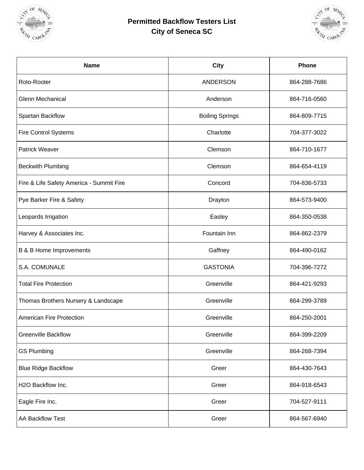

## **Permitted Backflow Testers List City of Seneca SC**



| <b>Name</b>                              | <b>City</b>            | Phone        |
|------------------------------------------|------------------------|--------------|
| Roto-Rooter                              | <b>ANDERSON</b>        | 864-288-7686 |
| <b>Glenn Mechanical</b>                  | Anderson               | 864-716-0560 |
| Spartan Backflow                         | <b>Boiling Springs</b> | 864-809-7715 |
| <b>Fire Control Systems</b>              | Charlotte              | 704-377-3022 |
| <b>Patrick Weaver</b>                    | Clemson                | 864-710-1677 |
| <b>Beckwith Plumbing</b>                 | Clemson                | 864-654-4119 |
| Fire & Life Safety America - Summit Fire | Concord                | 704-836-5733 |
| Pye Barker Fire & Safety                 | Drayton                | 864-573-9400 |
| Leopards Irrigation                      | Easley                 | 864-350-0538 |
| Harvey & Associates Inc.                 | Fountain Inn           | 864-862-2379 |
| <b>B &amp; B Home Improvements</b>       | Gaffney                | 864-490-0162 |
| S.A. COMUNALE                            | <b>GASTONIA</b>        | 704-396-7272 |
| <b>Total Fire Protection</b>             | Greenville             | 864-421-9293 |
| Thomas Brothers Nursery & Landscape      | Greenville             | 864-299-3789 |
| <b>American Fire Protection</b>          | Greenville             | 864-250-2001 |
| <b>Greenville Backflow</b>               | Greenville             | 864-399-2209 |
| <b>GS Plumbing</b>                       | Greenville             | 864-268-7394 |
| <b>Blue Ridge Backflow</b>               | Greer                  | 864-430-7643 |
| H2O Backflow Inc.                        | Greer                  | 864-918-6543 |
| Eagle Fire Inc.                          | Greer                  | 704-527-9111 |
| AA Backflow Test                         | Greer                  | 864-567-6940 |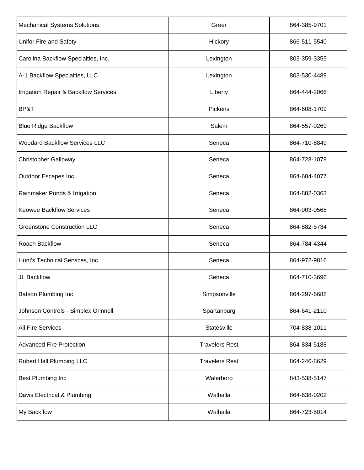| <b>Mechanical Systems Solutions</b>   | Greer                 | 864-385-9701 |
|---------------------------------------|-----------------------|--------------|
| Unifor Fire and Safety                | Hickory               | 866-511-5540 |
| Carolina Backflow Specialties, Inc.   | Lexington             | 803-359-3355 |
| A-1 Backflow Specialties, LLC.        | Lexington             | 803-530-4489 |
| Irrigation Repair & Backflow Services | Liberty               | 864-444-2066 |
| BP&T                                  | Pickens               | 864-608-1709 |
| <b>Blue Ridge Backflow</b>            | Salem                 | 864-557-0269 |
| <b>Woodard Backflow Services LLC</b>  | Seneca                | 864-710-8849 |
| <b>Christopher Galloway</b>           | Seneca                | 864-723-1079 |
| Outdoor Escapes Inc.                  | Seneca                | 864-684-4077 |
| Rainmaker Ponds & Irrigation          | Seneca                | 864-882-0363 |
| <b>Keowee Backflow Services</b>       | Seneca                | 864-903-0568 |
| <b>Greenstone Construction LLC</b>    | Seneca                | 864-882-5734 |
| <b>Roach Backflow</b>                 | Seneca                | 864-784-4344 |
| Hunt's Technical Services, Inc.       | Seneca                | 864-972-9816 |
| JL Backflow                           | Seneca                | 864-710-3696 |
| <b>Batson Plumbing Inc</b>            | Simpsonville          | 864-297-6688 |
| Johnson Controls - Simplex Grinnell   | Spartanburg           | 864-641-2110 |
| <b>All Fire Services</b>              | Statesville           | 704-838-1011 |
| <b>Advanced Fire Protection</b>       | <b>Travelers Rest</b> | 864-834-5188 |
| Robert Hall Plumbing LLC              | <b>Travelers Rest</b> | 864-246-8629 |
| <b>Best Plumbing Inc</b>              | Walerboro             | 843-538-5147 |
| Davis Electrical & Plumbing           | Walhalla              | 864-638-0202 |
| My Backflow                           | Walhalla              | 864-723-5014 |